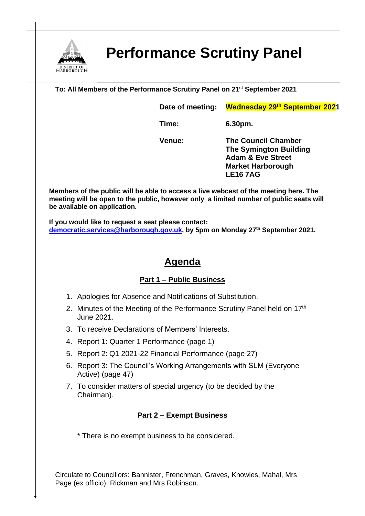

# **Performance Scrutiny Panel**

**To: All Members of the Performance Scrutiny Panel on 21st September 2021**

**Date of meeting: Wednesday 29th September 2021**

**Time: 6.30pm.**

**Venue: The Council Chamber The Symington Building Adam & Eve Street Market Harborough LE16 7AG**

**Members of the public will be able to access a live webcast of the meeting here. The meeting will be open to the public, however only a limited number of public seats will be available on application.** 

**If you would like to request a seat please contact: [democratic.services@harborough.gov.uk,](mailto:democratic.services@harborough.gov.uk) by 5pm on Monday 27th September 2021.**

## **Agenda**

### **Part 1 – Public Business**

- 1. Apologies for Absence and Notifications of Substitution.
- 2. Minutes of the Meeting of the Performance Scrutiny Panel held on 17<sup>th</sup> June 2021.
- 3. To receive Declarations of Members' Interests.
- 4. Report 1: Quarter 1 Performance (page 1)
- 5. Report 2: Q1 2021-22 Financial Performance (page 27)
- 6. Report 3: The Council's Working Arrangements with SLM (Everyone Active) (page 47)
- 7. To consider matters of special urgency (to be decided by the Chairman).

#### **Part 2 – Exempt Business**

\* There is no exempt business to be considered.

Circulate to Councillors: Bannister, Frenchman, Graves, Knowles, Mahal, Mrs Page (ex officio), Rickman and Mrs Robinson.